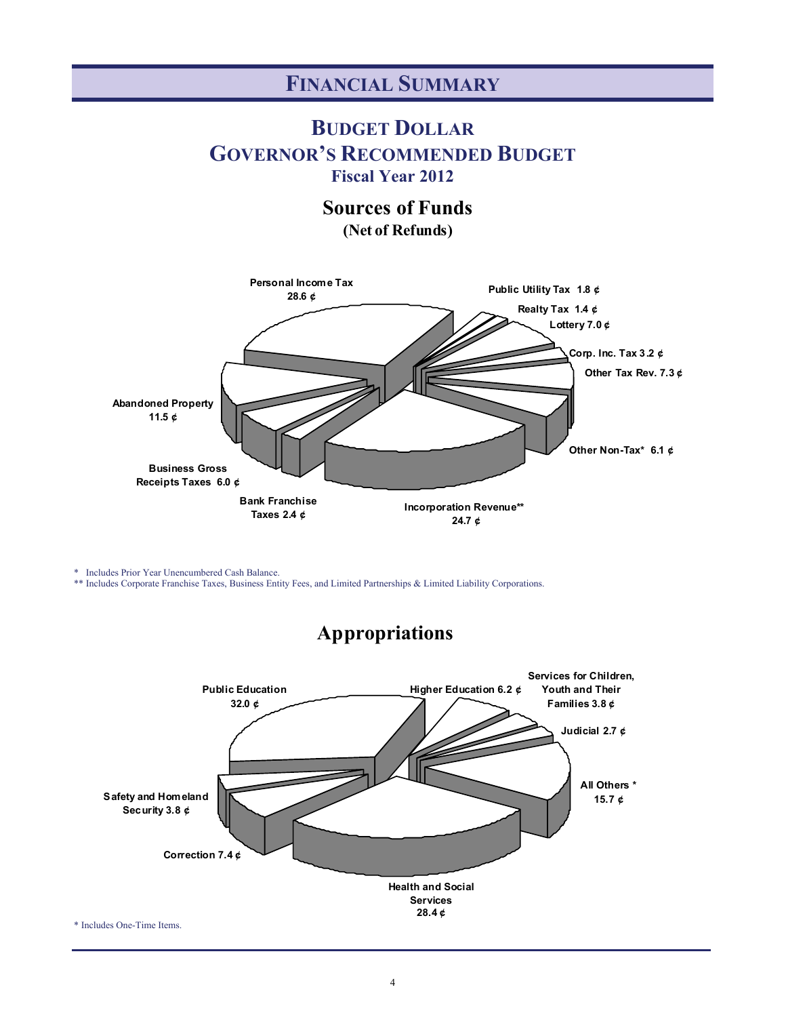#### **FINANCIAL SUMMARY**

#### **BUDGET DOLLAR GOVERNOR'S RECOMMENDED BUDGET Fiscal Year 2012**

**Sources of Funds**

**(Net of Refunds)**



\* Includes Prior Year Unencumbered Cash Balance.

\*\* Includes Corporate Franchise Taxes, Business Entity Fees, and Limited Partnerships & Limited Liability Corporations.



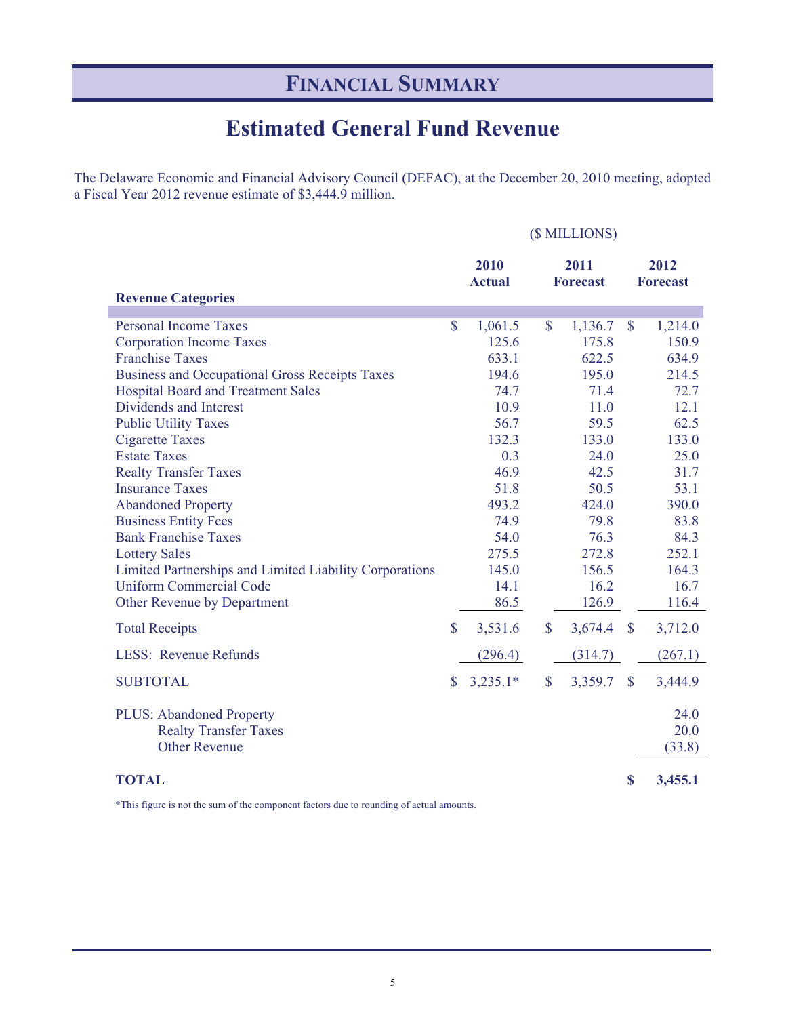# **FINANCIAL SUMMARY**

## **Estimated General Fund Revenue**

The Delaware Economic and Financial Advisory Council (DEFAC), at the December 20, 2010 meeting, adopted a Fiscal Year 2012 revenue estimate of \$3,444.9 million.

#### (\$ MILLIONS)

| <b>Revenue Categories</b>                                                        |               | 2010<br><b>Actual</b> |                    | 2011<br><b>Forecast</b> |                    | 2012<br><b>Forecast</b> |
|----------------------------------------------------------------------------------|---------------|-----------------------|--------------------|-------------------------|--------------------|-------------------------|
| <b>Personal Income Taxes</b>                                                     | $\mathbf{\$}$ | 1,061.5               | $\mathbf{\hat{S}}$ | 1,136.7                 | $\mathbf{\hat{S}}$ | 1,214.0                 |
| <b>Corporation Income Taxes</b>                                                  |               | 125.6                 |                    | 175.8                   |                    | 150.9                   |
| <b>Franchise Taxes</b>                                                           |               | 633.1                 |                    | 622.5                   |                    | 634.9                   |
| <b>Business and Occupational Gross Receipts Taxes</b>                            |               | 194.6                 |                    | 195.0                   |                    | 214.5                   |
| <b>Hospital Board and Treatment Sales</b>                                        |               | 74.7                  |                    | 71.4                    |                    | 72.7                    |
| Dividends and Interest                                                           |               | 10.9                  |                    | 11.0                    |                    | 12.1                    |
| <b>Public Utility Taxes</b>                                                      |               | 56.7                  |                    | 59.5                    |                    | 62.5                    |
| <b>Cigarette Taxes</b>                                                           |               | 132.3                 |                    | 133.0                   |                    | 133.0                   |
| <b>Estate Taxes</b>                                                              |               | 0.3                   |                    | 24.0                    |                    | 25.0                    |
| <b>Realty Transfer Taxes</b>                                                     |               | 46.9                  |                    | 42.5                    |                    | 31.7                    |
| <b>Insurance Taxes</b>                                                           |               | 51.8                  |                    | 50.5                    |                    | 53.1                    |
| <b>Abandoned Property</b>                                                        |               | 493.2                 |                    | 424.0                   |                    | 390.0                   |
| <b>Business Entity Fees</b>                                                      |               | 74.9                  |                    | 79.8                    |                    | 83.8                    |
| <b>Bank Franchise Taxes</b>                                                      |               | 54.0                  |                    | 76.3                    |                    | 84.3                    |
| <b>Lottery Sales</b>                                                             |               | 275.5                 |                    | 272.8                   |                    | 252.1                   |
| Limited Partnerships and Limited Liability Corporations                          |               | 145.0                 |                    | 156.5                   |                    | 164.3                   |
| <b>Uniform Commercial Code</b>                                                   |               | 14.1                  |                    | 16.2                    |                    | 16.7                    |
| Other Revenue by Department                                                      |               | 86.5                  |                    | 126.9                   |                    | 116.4                   |
| <b>Total Receipts</b>                                                            | $\mathbf{\$}$ | 3,531.6               | \$                 | 3,674.4                 | \$                 | 3,712.0                 |
| <b>LESS: Revenue Refunds</b>                                                     |               | (296.4)               |                    | (314.7)                 |                    | (267.1)                 |
| <b>SUBTOTAL</b>                                                                  | $\mathbf S$   | $3,235.1*$            | $\mathbf{\$}$      | 3,359.7                 | $\mathbf{\$\}$     | 3,444.9                 |
| PLUS: Abandoned Property<br><b>Realty Transfer Taxes</b><br><b>Other Revenue</b> |               |                       |                    |                         |                    | 24.0<br>20.0<br>(33.8)  |
| <b>TOTAL</b>                                                                     |               |                       |                    |                         | S                  | 3,455.1                 |

\*This figure is not the sum of the component factors due to rounding of actual amounts.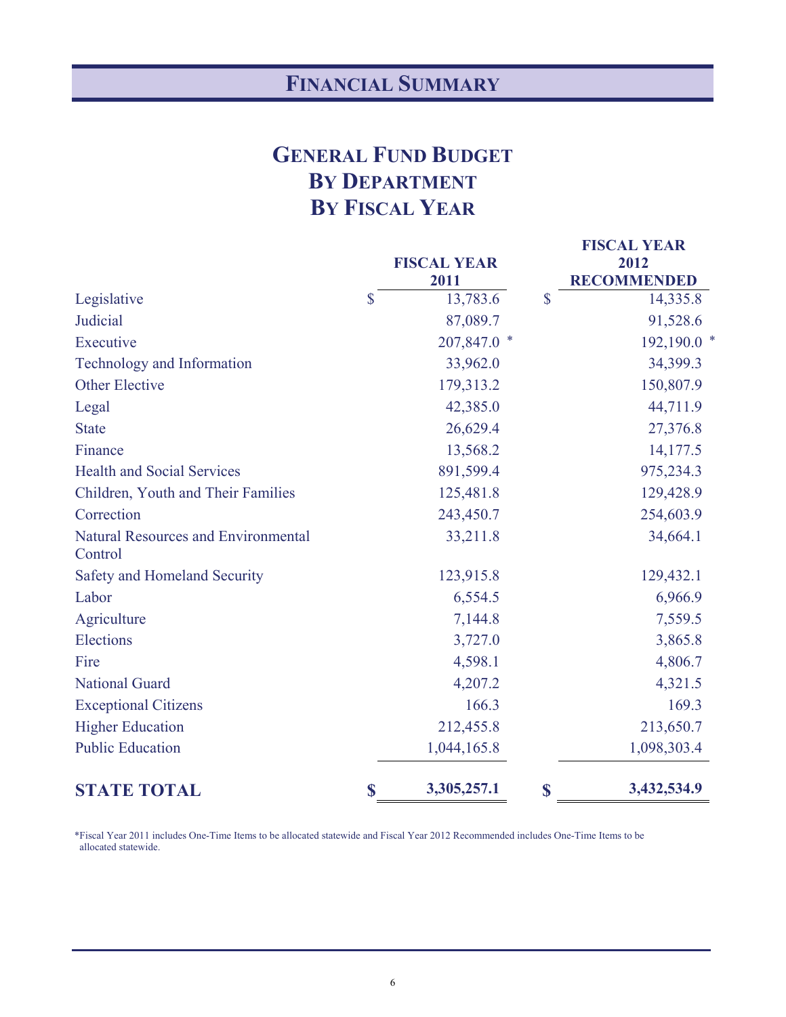# **FINANCIAL SUMMARY**

# **GENERAL FUND BUDGET BY DEPARTMENT BY FISCAL YEAR**

|                                                       | <b>FISCAL YEAR</b><br>2011 |              | <b>FISCAL YEAR</b><br>2012<br><b>RECOMMENDED</b> |
|-------------------------------------------------------|----------------------------|--------------|--------------------------------------------------|
| Legislative                                           | \$<br>13,783.6             | $\mathbb{S}$ | 14,335.8                                         |
| Judicial                                              | 87,089.7                   |              | 91,528.6                                         |
| Executive                                             | 207,847.0 *                |              | 192,190.0 *                                      |
| Technology and Information                            | 33,962.0                   |              | 34,399.3                                         |
| <b>Other Elective</b>                                 | 179,313.2                  |              | 150,807.9                                        |
| Legal                                                 | 42,385.0                   |              | 44,711.9                                         |
| <b>State</b>                                          | 26,629.4                   |              | 27,376.8                                         |
| Finance                                               | 13,568.2                   |              | 14,177.5                                         |
| <b>Health and Social Services</b>                     | 891,599.4                  |              | 975,234.3                                        |
| Children, Youth and Their Families                    | 125,481.8                  |              | 129,428.9                                        |
| Correction                                            | 243,450.7                  |              | 254,603.9                                        |
| <b>Natural Resources and Environmental</b><br>Control | 33,211.8                   |              | 34,664.1                                         |
| Safety and Homeland Security                          | 123,915.8                  |              | 129,432.1                                        |
| Labor                                                 | 6,554.5                    |              | 6,966.9                                          |
| Agriculture                                           | 7,144.8                    |              | 7,559.5                                          |
| Elections                                             | 3,727.0                    |              | 3,865.8                                          |
| Fire                                                  | 4,598.1                    |              | 4,806.7                                          |
| <b>National Guard</b>                                 | 4,207.2                    |              | 4,321.5                                          |
| <b>Exceptional Citizens</b>                           | 166.3                      |              | 169.3                                            |
| <b>Higher Education</b>                               | 212,455.8                  |              | 213,650.7                                        |
| <b>Public Education</b>                               | 1,044,165.8                |              | 1,098,303.4                                      |
| <b>STATE TOTAL</b>                                    | \$<br>3,305,257.1          | \$           | 3,432,534.9                                      |

 \*Fiscal Year 2011 includes One-Time Items to be allocated statewide and Fiscal Year 2012 Recommended includes One-Time Items to be allocated statewide.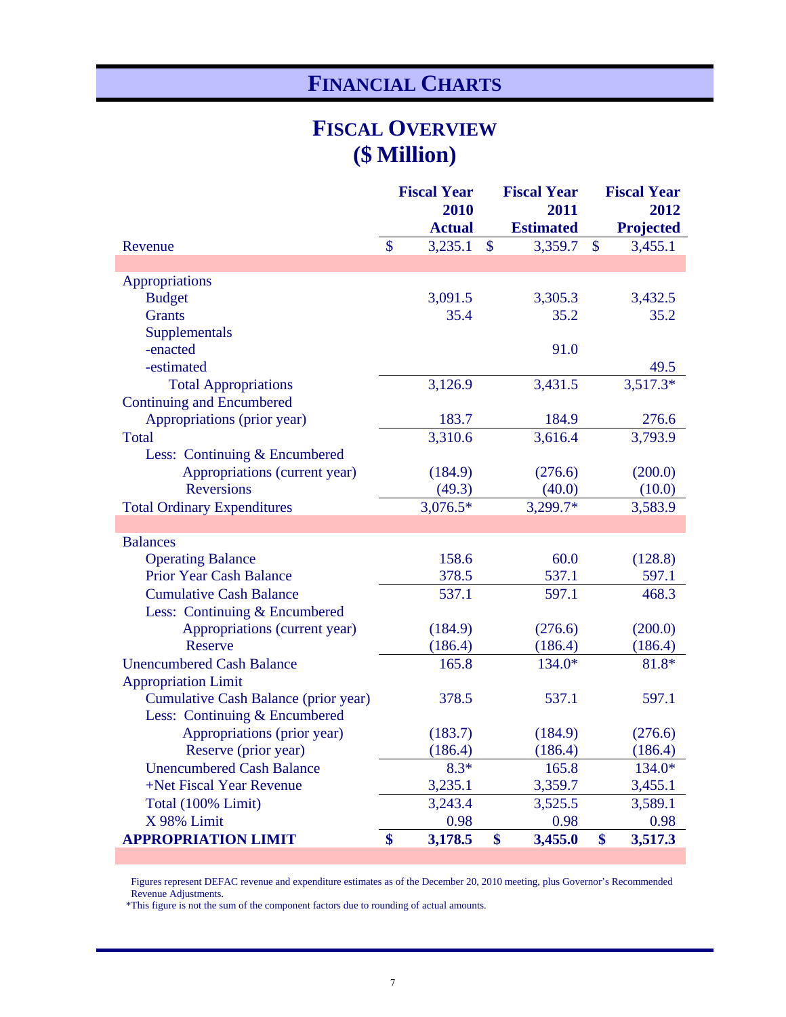# **FINANCIAL CHARTS**

### **FISCAL OVERVIEW (\$ Million)**

|                                      |                   | <b>Fiscal Year</b> |               | <b>Fiscal Year</b> |               | <b>Fiscal Year</b> |  |  |
|--------------------------------------|-------------------|--------------------|---------------|--------------------|---------------|--------------------|--|--|
|                                      |                   | 2010               |               | 2011               |               | 2012               |  |  |
|                                      |                   | <b>Actual</b>      |               | <b>Estimated</b>   |               | <b>Projected</b>   |  |  |
| Revenue                              | $\mathsf{\$}$     | 3,235.1            | $\mathbf{\$}$ | 3,359.7            | $\mathcal{S}$ | 3,455.1            |  |  |
|                                      |                   |                    |               |                    |               |                    |  |  |
| Appropriations                       |                   |                    |               |                    |               |                    |  |  |
| <b>Budget</b>                        |                   | 3,091.5            |               | 3,305.3            |               | 3,432.5            |  |  |
| <b>Grants</b>                        |                   | 35.4               |               | 35.2               |               | 35.2               |  |  |
| Supplementals                        |                   |                    |               |                    |               |                    |  |  |
| -enacted                             |                   |                    |               | 91.0               |               |                    |  |  |
| -estimated                           |                   |                    |               |                    |               | 49.5               |  |  |
| <b>Total Appropriations</b>          |                   | 3,126.9            |               | 3,431.5            |               | $3,517.3*$         |  |  |
| <b>Continuing and Encumbered</b>     |                   |                    |               |                    |               |                    |  |  |
| Appropriations (prior year)          |                   | 183.7              |               | 184.9              |               | 276.6              |  |  |
| <b>Total</b>                         |                   | 3,310.6            |               | 3,616.4            |               | 3,793.9            |  |  |
| Less: Continuing & Encumbered        |                   |                    |               |                    |               |                    |  |  |
| Appropriations (current year)        |                   | (184.9)            |               | (276.6)            |               | (200.0)            |  |  |
| <b>Reversions</b>                    |                   | (49.3)             |               | (40.0)             |               | (10.0)             |  |  |
| <b>Total Ordinary Expenditures</b>   |                   | $3,076.5*$         |               | 3,299.7*           |               | 3,583.9            |  |  |
|                                      |                   |                    |               |                    |               |                    |  |  |
| <b>Balances</b>                      |                   |                    |               |                    |               |                    |  |  |
| <b>Operating Balance</b>             |                   | 158.6              |               | 60.0               |               | (128.8)            |  |  |
| <b>Prior Year Cash Balance</b>       |                   | 378.5              |               | 537.1              |               | 597.1              |  |  |
| <b>Cumulative Cash Balance</b>       |                   | 537.1              |               | 597.1              |               | 468.3              |  |  |
| Less: Continuing & Encumbered        |                   |                    |               |                    |               |                    |  |  |
| Appropriations (current year)        |                   | (184.9)            |               | (276.6)            |               | (200.0)            |  |  |
| Reserve                              |                   | (186.4)            |               | (186.4)            |               | (186.4)            |  |  |
| <b>Unencumbered Cash Balance</b>     |                   | 165.8              |               | 134.0*             |               | 81.8*              |  |  |
| <b>Appropriation Limit</b>           |                   |                    |               |                    |               |                    |  |  |
| Cumulative Cash Balance (prior year) |                   | 378.5              |               | 537.1              |               | 597.1              |  |  |
| Less: Continuing & Encumbered        |                   |                    |               |                    |               |                    |  |  |
| Appropriations (prior year)          |                   | (183.7)            |               | (184.9)            |               | (276.6)            |  |  |
| Reserve (prior year)                 |                   | (186.4)            |               | (186.4)            |               | (186.4)            |  |  |
| <b>Unencumbered Cash Balance</b>     |                   | $8.3*$             |               | 165.8              |               | 134.0*             |  |  |
| +Net Fiscal Year Revenue             |                   | 3,235.1            |               | 3,359.7            |               | 3,455.1            |  |  |
| Total (100% Limit)                   |                   | 3,243.4            |               | 3,525.5            |               | 3,589.1            |  |  |
| X 98% Limit                          |                   | 0.98               |               | 0.98               |               | 0.98               |  |  |
| <b>APPROPRIATION LIMIT</b>           | $\boldsymbol{\$}$ | 3,178.5            | \$            | 3,455.0            | \$            | 3,517.3            |  |  |

 Figures represent DEFAC revenue and expenditure estimates as of the December 20, 2010 meeting, plus Governor's Recommended Revenue Adjustments.

\*This figure is not the sum of the component factors due to rounding of actual amounts.